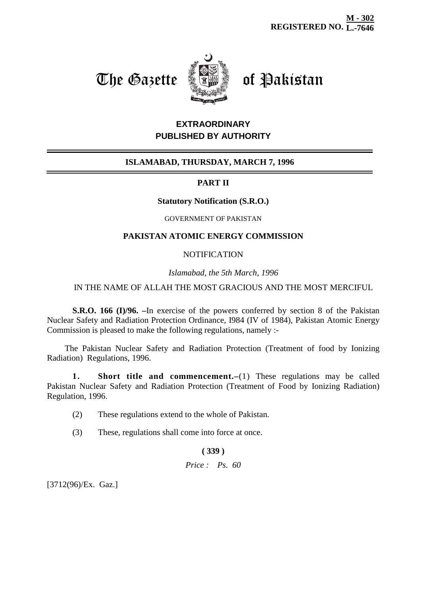# The Gazette **Come of Pakistan**



# **EXTRAORDINARY PUBLISHED BY AUTHORITY**

# **ISLAMABAD, THURSDAY, MARCH 7, 1996**

# **PART II**

## **Statutory Notification (S.R.O.)**

#### GOVERNMENT OF PAKISTAN

## **PAKISTAN ATOMIC ENERGY COMMISSION**

## **NOTIFICATION**

*Islamabad, the 5th March, 1996*

## IN THE NAME OF ALLAH THE MOST GRACIOUS AND THE MOST MERCIFUL

**S.R.O. 166 (I)/96. –**In exercise of the powers conferred by section 8 of the Pakistan Nuclear Safety and Radiation Protection Ordinance, I984 (IV of 1984), Pakistan Atomic Energy Commission is pleased to make the following regulations, namely :-

The Pakistan Nuclear Safety and Radiation Protection (Treatment of food by Ionizing Radiation) Regulations, 1996.

**1. Short title and commencement.–**(1) These regulations may be called Pakistan Nuclear Safety and Radiation Protection (Treatment of Food by Ionizing Radiation) Regulation, 1996.

- (2) These regulations extend to the whole of Pakistan.
- (3) These, regulations shall come into force at once.

#### **( 339 )**

#### *Price : Ps. 60*

[3712(96)/Ex. Gaz.]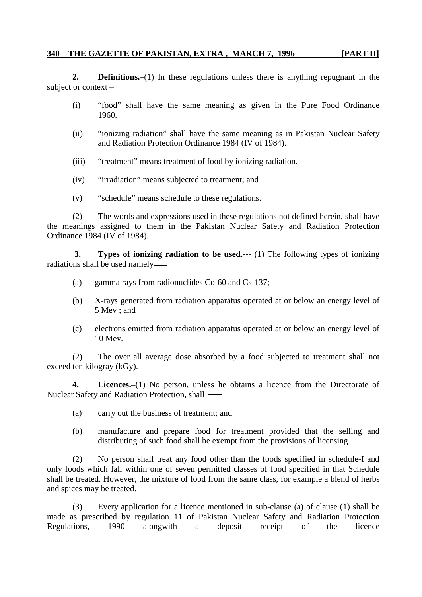## **340 THE GAZETTE OF PAKISTAN, EXTRA , MARCH 7, 1996 [PART II]**

**2. Definitions.–**(1) In these regulations unless there is anything repugnant in the subject or context –

- (i) "food" shall have the same meaning as given in the Pure Food Ordinance 1960.
- (ii) "ionizing radiation" shall have the same meaning as in Pakistan Nuclear Safety and Radiation Protection Ordinance 1984 (IV of 1984).
- (iii) "treatment" means treatment of food by ionizing radiation.
- (iv) "irradiation" means subjected to treatment; and
- (v) "schedule" means schedule to these regulations.

(2) The words and expressions used in these regulations not defined herein, shall have the meanings assigned to them in the Pakistan Nuclear Safety and Radiation Protection Ordinance 1984 (IV of 1984).

**3. Types of ionizing radiation to be used.---** (1) The following types of ionizing radiations shall be used namely

- (a) gamma rays from radionuclides Co-60 and Cs-137;
- (b) X-rays generated from radiation apparatus operated at or below an energy level of 5 Mev ; and
- (c) electrons emitted from radiation apparatus operated at or below an energy level of 10 Mev.

(2) The over all average dose absorbed by a food subjected to treatment shall not exceed ten kilogray (kGy).

**4. Licences.–**(1) No person, unless he obtains a licence from the Directorate of Nuclear Safety and Radiation Protection, shall

- (a) carry out the business of treatment; and
- (b) manufacture and prepare food for treatment provided that the selling and distributing of such food shall be exempt from the provisions of licensing.

(2) No person shall treat any food other than the foods specified in schedule-I and only foods which fall within one of seven permitted classes of food specified in that Schedule shall be treated. However, the mixture of food from the same class, for example a blend of herbs and spices may be treated.

Every application for a licence mentioned in sub-clause (a) of clause (1) shall be made as prescribed by regulation 11 of Pakistan Nuclear Safety and Radiation Protection Regulations, 1990 alongwith a deposit receipt of the licence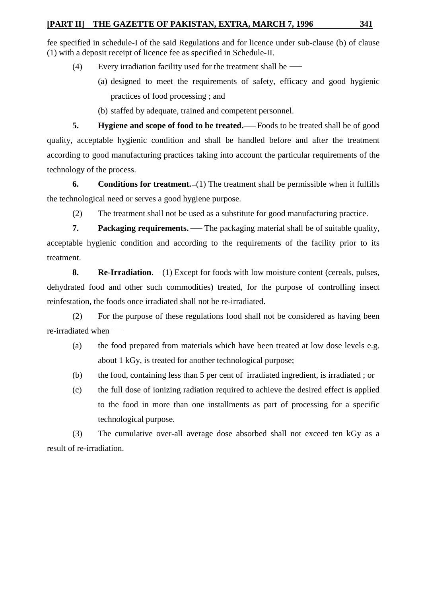fee specified in schedule-I of the said Regulations and for licence under sub-clause (b) of clause (1) with a deposit receipt of licence fee as specified in Schedule-II.

- (4) Every irradiation facility used for the treatment shall be
	- (a) designed to meet the requirements of safety, efficacy and good hygienic practices of food processing ; and
	- (b) staffed by adequate, trained and competent personnel.

**5. Hygiene** and scope of food to be treated.—Foods to be treated shall be of good quality, acceptable hygienic condition and shall be handled before and after the treatment according to good manufacturing practices taking into account the particular requirements of the technology of the process.

**6. Conditions for treatment.** (1) The treatment shall be permissible when it fulfills the technological need or serves a good hygiene purpose.

(2) The treatment shall not be used as a substitute for good manufacturing practice.

**7. Packaging requirements.** — The packaging material shall be of suitable quality, acceptable hygienic condition and according to the requirements of the facility prior to its treatment.

**8. Re-Irradiation.** (1) Except for foods with low moisture content (cereals, pulses, dehydrated food and other such commodities) treated, for the purpose of controlling insect reinfestation, the foods once irradiated shall not be re-irradiated.

(2) For the purpose of these regulations food shall not be considered as having been re-irradiated when

- (a) the food prepared from materials which have been treated at low dose levels e.g. about 1 kGy, is treated for another technological purpose;
- (b) the food, containing less than 5 per cent of irradiated ingredient, is irradiated ; or
- (c) the full dose of ionizing radiation required to achieve the desired effect is applied to the food in more than one installments as part of processing for a specific technological purpose.

(3) The cumulative over-all average dose absorbed shall not exceed ten kGy as a result of re-irradiation.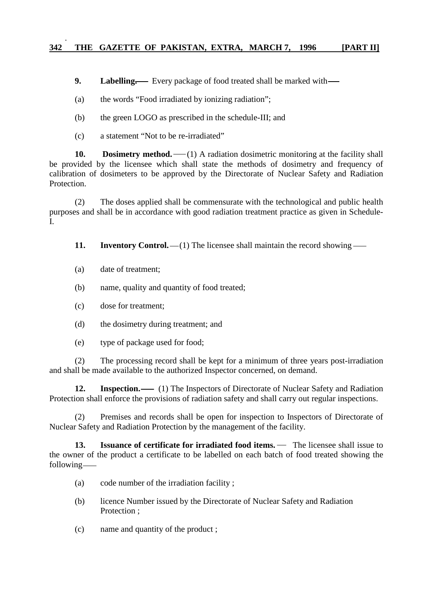**9.** Labelling. Every package of food treated shall be marked with  $\rightarrow$ 

(a) the words "Food irradiated by ionizing radiation";

- (b) the green LOGO as prescribed in the schedule-III; and
- (c) a statement "Not to be re-irradiated"

**10. Dosimetry method.** (1) A radiation dosimetric monitoring at the facility shall be provided by the licensee which shall state the methods of dosimetry and frequency of calibration of dosimeters to be approved by the Directorate of Nuclear Safety and Radiation Protection.

(2) The doses applied shall be commensurate with the technological and public health purposes and shall be in accordance with good radiation treatment practice as given in Schedule-I.

**11.** Inventory Control. —(1) The licensee shall maintain the record showing —

- (a) date of treatment;
- (b) name, quality and quantity of food treated;
- (c) dose for treatment;
- (d) the dosimetry during treatment; and
- (e) type of package used for food;

(2) The processing record shall be kept for a minimum of three years post-irradiation and shall be made available to the authorized Inspector concerned, on demand.

**12.** Inspection.  $\qquad$  (1) The Inspectors of Directorate of Nuclear Safety and Radiation Protection shall enforce the provisions of radiation safety and shall carry out regular inspections.

(2) Premises and records shall be open for inspection to Inspectors of Directorate of Nuclear Safety and Radiation Protection by the management of the facility.

**13.** Issuance of certificate for irradiated food items. — The licensee shall issue to the owner of the product a certificate to be labelled on each batch of food treated showing the following

- (a) code number of the irradiation facility ;
- (b) licence Number issued by the Directorate of Nuclear Safety and Radiation Protection :
- (c) name and quantity of the product ;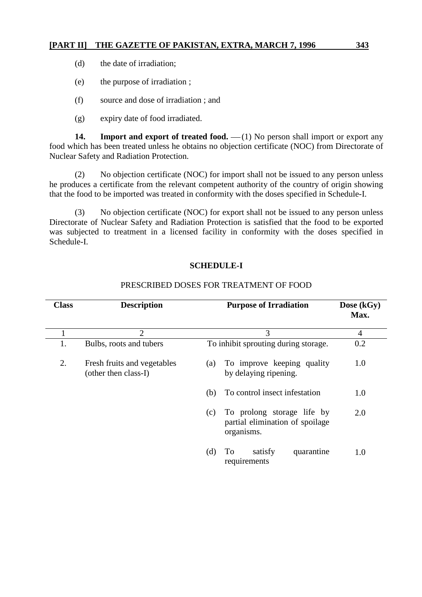- (d) the date of irradiation;
- (e) the purpose of irradiation ;
- (f) source and dose of irradiation ; and
- (g) expiry date of food irradiated.

**14.** Import and export of treated food. —(1) No person shall import or export any food which has been treated unless he obtains no objection certificate (NOC) from Directorate of Nuclear Safety and Radiation Protection.

(2) No objection certificate (NOC) for import shall not be issued to any person unless he produces a certificate from the relevant competent authority of the country of origin showing that the food to be imported was treated in conformity with the doses specified in Schedule-I.

(3) No objection certificate (NOC) for export shall not be issued to any person unless Directorate of Nuclear Safety and Radiation Protection is satisfied that the food to be exported was subjected to treatment in a licensed facility in conformity with the doses specified in Schedule-I.

#### **SCHEDULE-I**

| Class | <b>Description</b>                                  |     | <b>Purpose of Irradiation</b>                                               | Dose (kGy)<br>Max. |
|-------|-----------------------------------------------------|-----|-----------------------------------------------------------------------------|--------------------|
|       | $\overline{2}$                                      |     | $\overline{4}$                                                              |                    |
|       | Bulbs, roots and tubers                             |     | To inhibit sprouting during storage.                                        | 0.2                |
| 2.    | Fresh fruits and vegetables<br>(other then class-I) | (a) | To improve keeping quality<br>by delaying ripening.                         | 1.0                |
|       |                                                     | (b) | To control insect infestation                                               | 1.0                |
|       |                                                     | (c) | To prolong storage life by<br>partial elimination of spoilage<br>organisms. | 2.0                |
|       |                                                     | (d) | To<br>satisfy<br>quarantine<br>requirements                                 | 1.0                |

#### PRESCRIBED DOSES FOR TREATMENT OF FOOD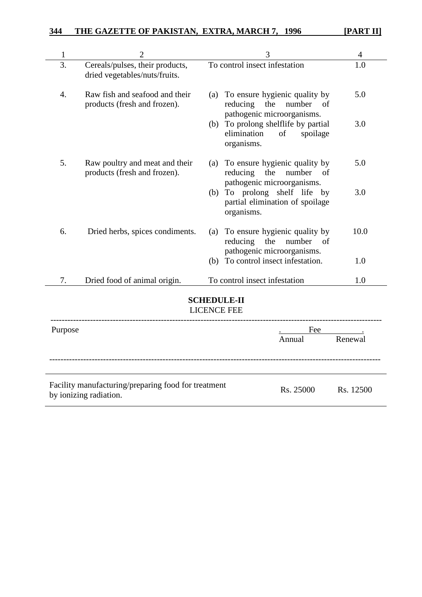| 1                                        | 2                                                                             | 3   |                                                                                                |                                       |         |  |  |  |  |
|------------------------------------------|-------------------------------------------------------------------------------|-----|------------------------------------------------------------------------------------------------|---------------------------------------|---------|--|--|--|--|
| 3.                                       | Cereals/pulses, their products,<br>dried vegetables/nuts/fruits.              |     | To control insect infestation                                                                  | 1.0                                   |         |  |  |  |  |
| $\overline{4}$ .                         | Raw fish and seafood and their<br>products (fresh and frozen).                |     | (a) To ensure hygienic quality by<br>reducing the number<br>of<br>pathogenic microorganisms.   |                                       | 5.0     |  |  |  |  |
|                                          |                                                                               |     | (b) To prolong shelflife by partial<br>elimination<br>organisms.                               | spoilage<br>of                        | 3.0     |  |  |  |  |
| 5.                                       | Raw poultry and meat and their<br>products (fresh and frozen).                |     | To ensure hygienic quality by<br>reducing<br>the<br>number<br>of<br>pathogenic microorganisms. |                                       | 5.0     |  |  |  |  |
|                                          |                                                                               |     | To prolong shelf life<br>(b)<br>organisms.                                                     | by<br>partial elimination of spoilage | 3.0     |  |  |  |  |
| 6.                                       | Dried herbs, spices condiments.                                               | (a) | To ensure hygienic quality by<br>reducing<br>the number of<br>pathogenic microorganisms.       |                                       | 10.0    |  |  |  |  |
|                                          |                                                                               |     | (b) To control insect infestation.                                                             |                                       | 1.0     |  |  |  |  |
| 7.                                       | Dried food of animal origin.                                                  |     | To control insect infestation                                                                  | 1.0                                   |         |  |  |  |  |
| <b>SCHEDULE-II</b><br><b>LICENCE FEE</b> |                                                                               |     |                                                                                                |                                       |         |  |  |  |  |
| Purpose                                  |                                                                               |     |                                                                                                | Fee                                   |         |  |  |  |  |
|                                          |                                                                               |     |                                                                                                | Annual                                | Renewal |  |  |  |  |
|                                          |                                                                               |     |                                                                                                |                                       |         |  |  |  |  |
|                                          | Facility manufacturing/preparing food for treatment<br>by ionizing radiation. |     | Rs. 25000                                                                                      | Rs. 12500                             |         |  |  |  |  |